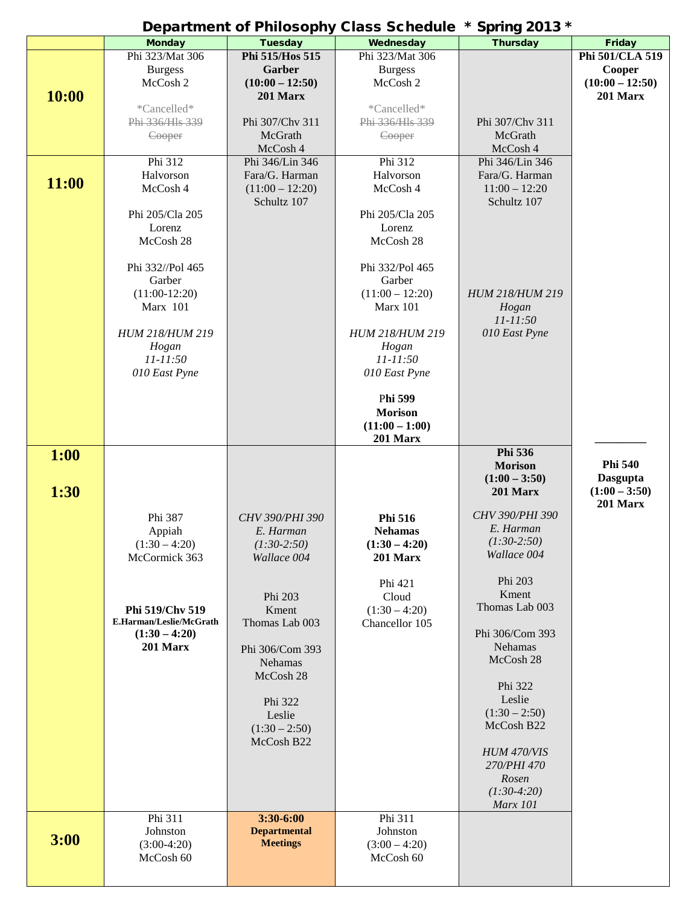| Department of Philosophy Class Schedule * Spring 2013 * |                         |                     |                        |                 |                   |  |  |  |
|---------------------------------------------------------|-------------------------|---------------------|------------------------|-----------------|-------------------|--|--|--|
|                                                         | <b>Monday</b>           | <b>Tuesday</b>      | Wednesday              | <b>Thursday</b> | Friday            |  |  |  |
|                                                         | Phi 323/Mat 306         | Phi 515/Hos 515     | Phi 323/Mat 306        |                 | Phi 501/CLA 519   |  |  |  |
|                                                         | <b>Burgess</b>          | Garber              | <b>Burgess</b>         |                 | Cooper            |  |  |  |
|                                                         | McCosh 2                | $(10:00 - 12:50)$   | McCosh 2               |                 | $(10:00 - 12:50)$ |  |  |  |
| 10:00                                                   |                         | 201 Marx            |                        |                 | 201 Marx          |  |  |  |
|                                                         | *Cancelled*             |                     | *Cancelled*            |                 |                   |  |  |  |
|                                                         | Phi 336/Hls 339         | Phi 307/Chv 311     | Phi 336/Hls 339        | Phi 307/Chv 311 |                   |  |  |  |
|                                                         | Cooper                  | McGrath             | Cooper                 | McGrath         |                   |  |  |  |
|                                                         |                         | McCosh 4            |                        | McCosh 4        |                   |  |  |  |
|                                                         | Phi 312                 | Phi 346/Lin 346     | Phi 312                | Phi 346/Lin 346 |                   |  |  |  |
|                                                         | Halvorson               | Fara/G. Harman      | Halvorson              | Fara/G. Harman  |                   |  |  |  |
| 11:00                                                   | McCosh 4                | $(11:00 - 12:20)$   | McCosh 4               | $11:00 - 12:20$ |                   |  |  |  |
|                                                         |                         | Schultz 107         |                        | Schultz 107     |                   |  |  |  |
|                                                         | Phi 205/Cla 205         |                     | Phi 205/Cla 205        |                 |                   |  |  |  |
|                                                         | Lorenz                  |                     | Lorenz                 |                 |                   |  |  |  |
|                                                         | McCosh 28               |                     | McCosh 28              |                 |                   |  |  |  |
|                                                         |                         |                     |                        |                 |                   |  |  |  |
|                                                         |                         |                     |                        |                 |                   |  |  |  |
|                                                         | Phi 332//Pol 465        |                     | Phi 332/Pol 465        |                 |                   |  |  |  |
|                                                         | Garber                  |                     | Garber                 |                 |                   |  |  |  |
|                                                         | $(11:00-12:20)$         |                     | $(11:00 - 12:20)$      | HUM 218/HUM 219 |                   |  |  |  |
|                                                         | Marx 101                |                     | Marx 101               | Hogan           |                   |  |  |  |
|                                                         |                         |                     |                        | 11-11:50        |                   |  |  |  |
|                                                         | HUM 218/HUM 219         |                     | <b>HUM 218/HUM 219</b> | 010 East Pyne   |                   |  |  |  |
|                                                         | Hogan                   |                     | Hogan                  |                 |                   |  |  |  |
|                                                         | 11-11:50                |                     | $11 - 11:50$           |                 |                   |  |  |  |
|                                                         | 010 East Pyne           |                     | 010 East Pyne          |                 |                   |  |  |  |
|                                                         |                         |                     |                        |                 |                   |  |  |  |
|                                                         |                         |                     | Phi 599                |                 |                   |  |  |  |
|                                                         |                         |                     | <b>Morison</b>         |                 |                   |  |  |  |
|                                                         |                         |                     | $(11:00 - 1:00)$       |                 |                   |  |  |  |
|                                                         |                         |                     | 201 Marx               |                 |                   |  |  |  |
| 1:00                                                    |                         |                     |                        | Phi 536         |                   |  |  |  |
|                                                         |                         |                     |                        | <b>Morison</b>  | <b>Phi 540</b>    |  |  |  |
|                                                         |                         |                     |                        | $(1:00 - 3:50)$ | <b>Dasgupta</b>   |  |  |  |
| 1:30                                                    |                         |                     |                        | 201 Marx        | $(1:00 - 3:50)$   |  |  |  |
|                                                         |                         |                     |                        |                 | 201 Marx          |  |  |  |
|                                                         | Phi 387                 | CHV 390/PHI 390     | Phi 516                | CHV 390/PHI 390 |                   |  |  |  |
|                                                         | Appiah                  | E. Harman           | <b>Nehamas</b>         | E. Harman       |                   |  |  |  |
|                                                         | $(1:30 - 4:20)$         | $(1:30-2:50)$       | $(1:30 - 4:20)$        | $(1:30-2:50)$   |                   |  |  |  |
|                                                         | McCormick 363           | Wallace 004         | 201 Marx               | Wallace 004     |                   |  |  |  |
|                                                         |                         |                     |                        |                 |                   |  |  |  |
|                                                         |                         |                     | Phi 421                | Phi 203         |                   |  |  |  |
|                                                         |                         | Phi 203             | Cloud                  | Kment           |                   |  |  |  |
|                                                         | Phi 519/Chv 519         | Kment               | $(1:30 - 4:20)$        | Thomas Lab 003  |                   |  |  |  |
|                                                         | E.Harman/Leslie/McGrath | Thomas Lab 003      | Chancellor 105         |                 |                   |  |  |  |
|                                                         | $(1:30 - 4:20)$         |                     |                        | Phi 306/Com 393 |                   |  |  |  |
|                                                         | 201 Marx                | Phi 306/Com 393     |                        | <b>Nehamas</b>  |                   |  |  |  |
|                                                         |                         | <b>Nehamas</b>      |                        | McCosh 28       |                   |  |  |  |
|                                                         |                         | McCosh 28           |                        |                 |                   |  |  |  |
|                                                         |                         |                     |                        | Phi 322         |                   |  |  |  |
|                                                         |                         | Phi 322             |                        | Leslie          |                   |  |  |  |
|                                                         |                         | Leslie              |                        | $(1:30 - 2:50)$ |                   |  |  |  |
|                                                         |                         | $(1:30 - 2:50)$     |                        | McCosh B22      |                   |  |  |  |
|                                                         |                         | McCosh B22          |                        |                 |                   |  |  |  |
|                                                         |                         |                     |                        | HUM 470/VIS     |                   |  |  |  |
|                                                         |                         |                     |                        | 270/PHI 470     |                   |  |  |  |
|                                                         |                         |                     |                        | Rosen           |                   |  |  |  |
|                                                         |                         |                     |                        | $(1:30-4:20)$   |                   |  |  |  |
|                                                         |                         |                     |                        | <b>Marx</b> 101 |                   |  |  |  |
|                                                         | Phi 311                 | 3:30-6:00           | Phi 311                |                 |                   |  |  |  |
|                                                         | Johnston                | <b>Departmental</b> | Johnston               |                 |                   |  |  |  |
| 3:00                                                    | $(3:00-4:20)$           | <b>Meetings</b>     | $(3:00 - 4:20)$        |                 |                   |  |  |  |
|                                                         | McCosh 60               |                     | McCosh 60              |                 |                   |  |  |  |
|                                                         |                         |                     |                        |                 |                   |  |  |  |
|                                                         |                         |                     |                        |                 |                   |  |  |  |